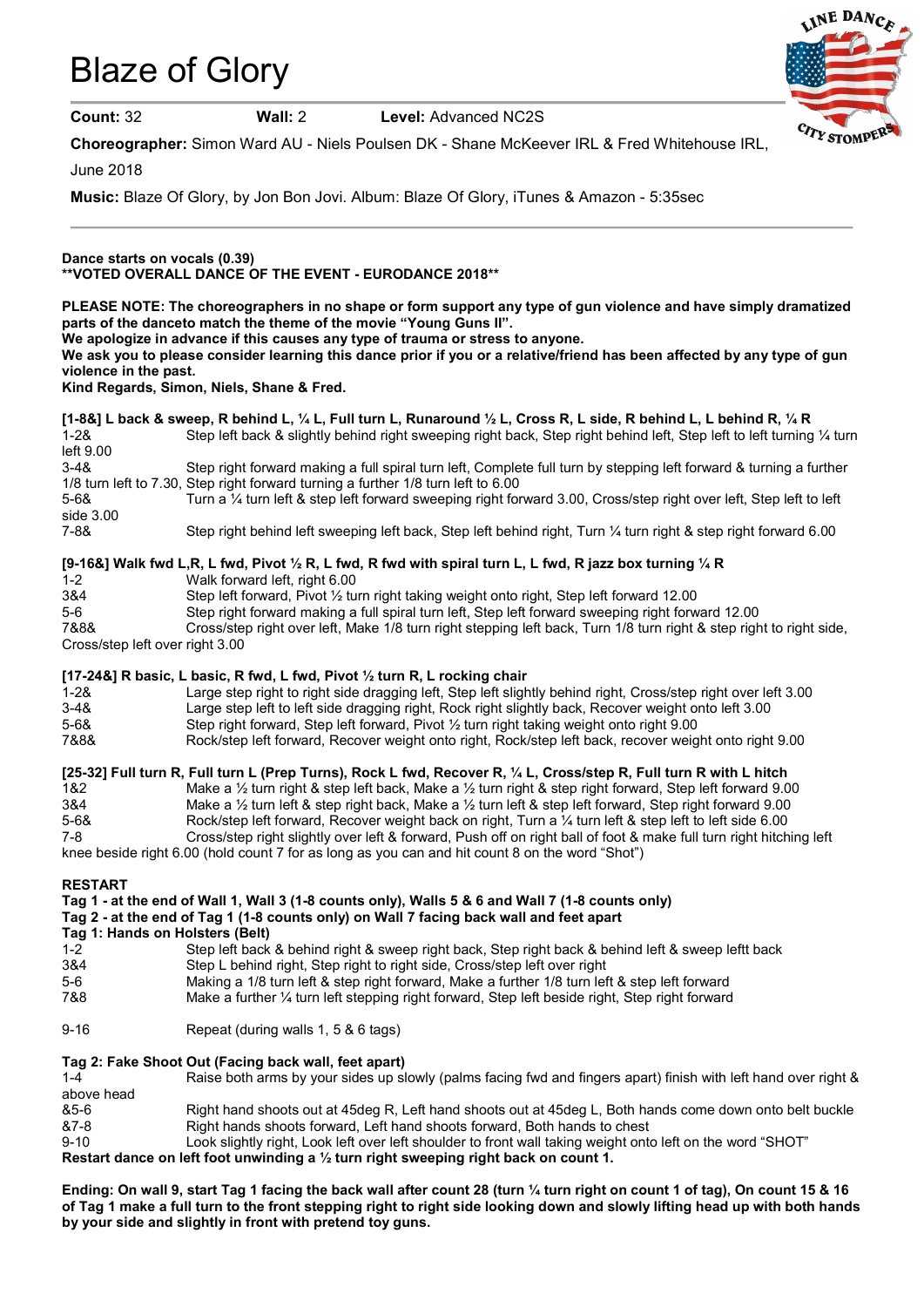# Blaze of Glory



Count: 32 Wall: 2 Level: Advanced NC2S

Choreographer: Simon Ward AU - Niels Poulsen DK - Shane McKeever IRL & Fred Whitehouse IRL,

June 2018

Music: Blaze Of Glory, by Jon Bon Jovi. Album: Blaze Of Glory, iTunes & Amazon - 5:35sec

## Dance starts on vocals (0.39) \*\*VOTED OVERALL DANCE OF THE EVENT - EURODANCE 2018\*\*

PLEASE NOTE: The choreographers in no shape or form support any type of gun violence and have simply dramatized parts of the danceto match the theme of the movie "Young Guns II".

We apologize in advance if this causes any type of trauma or stress to anyone.

We ask you to please consider learning this dance prior if you or a relative/friend has been affected by any type of gun violence in the past.

## Kind Regards, Simon, Niels, Shane & Fred.

[1-8&] L back & sweep, R behind L, ¼ L, Full turn L, Runaround ½ L, Cross R, L side, R behind L, L behind R, ¼ R 1-2& Step left back & slightly behind right sweeping right back, Step right behind left, Step left to left turning ¼ turn left 9.00<br>3-4& Step right forward making a full spiral turn left, Complete full turn by stepping left forward & turning a further 1/8 turn left to 7.30, Step right forward turning a further 1/8 turn left to 6.00 5-6& Turn a ¼ turn left & step left forward sweeping right forward 3.00, Cross/step right over left, Step left to left side 3.00 7-8& Step right behind left sweeping left back, Step left behind right, Turn ¼ turn right & step right forward 6.00

## [9-16&] Walk fwd L,R, L fwd, Pivot  $\frac{1}{2}$  R, L fwd, R fwd with spiral turn L, L fwd, R jazz box turning  $\frac{1}{4}$  R

| $1 - 2$                         | Walk forward left, right 6.00                                                                                       |  |
|---------------------------------|---------------------------------------------------------------------------------------------------------------------|--|
| 3&4                             | Step left forward, Pivot $\frac{1}{2}$ turn right taking weight onto right, Step left forward 12.00                 |  |
| $5-6$                           | Step right forward making a full spiral turn left, Step left forward sweeping right forward 12.00                   |  |
| 7&8&                            | Cross/step right over left, Make 1/8 turn right stepping left back, Turn 1/8 turn right & step right to right side, |  |
| Cross/step left over right 3.00 |                                                                                                                     |  |

## [17-24&] R basic, L basic, R fwd, L fwd, Pivot  $\frac{1}{2}$  turn R, L rocking chair

| $1 - 28$ | Large step right to right side dragging left, Step left slightly behind right, Cross/step right over left 3.00 |
|----------|----------------------------------------------------------------------------------------------------------------|
| $3 - 48$ | Large step left to left side dragging right, Rock right slightly back, Recover weight onto left 3.00           |
| $5 - 68$ | Step right forward, Step left forward, Pivot $\frac{1}{2}$ turn right taking weight onto right 9.00            |
| 7&8&     | Rock/step left forward, Recover weight onto right, Rock/step left back, recover weight onto right 9.00         |

## [25-32] Full turn R, Full turn L (Prep Turns), Rock L fwd, Recover R, 1/4 L, Cross/step R, Full turn R with L hitch

1&2 Make a ½ turn right & step left back, Make a ½ turn right & step right forward, Step left forward 9.00 3&4 Make a ½ turn left & step right back, Make a ½ turn left & step left forward, Step right forward 9.00 5-6& Rock/step left forward, Recover weight back on right, Turn a ¼ turn left & step left to left side 6.00 7-8 Cross/step right slightly over left & forward, Push off on right ball of foot & make full turn right hitching left knee beside right 6.00 (hold count 7 for as long as you can and hit count 8 on the word "Shot")

#### RESTART

|                                                                                         | Tag 1 - at the end of Wall 1, Wall 3 (1-8 counts only), Walls 5 & 6 and Wall 7 (1-8 counts only)                |  |
|-----------------------------------------------------------------------------------------|-----------------------------------------------------------------------------------------------------------------|--|
| Tag 2 - at the end of Tag 1 (1-8 counts only) on Wall 7 facing back wall and feet apart |                                                                                                                 |  |
|                                                                                         | Tag 1: Hands on Holsters (Belt)                                                                                 |  |
| $1 - 2$                                                                                 | Step left back & behind right & sweep right back, Step right back & behind left & sweep leftt back              |  |
| 3&4                                                                                     | Step L behind right, Step right to right side, Cross/step left over right                                       |  |
| 5-6                                                                                     | Making a 1/8 turn left & step right forward, Make a further 1/8 turn left & step left forward                   |  |
| 7&8                                                                                     | Make a further 1/4 turn left stepping right forward, Step left beside right, Step right forward                 |  |
| $9 - 16$                                                                                | Repeat (during walls 1, 5 & 6 tags)                                                                             |  |
|                                                                                         | Tag 2: Fake Shoot Out (Facing back wall, feet apart)                                                            |  |
| $1 - 4$                                                                                 | Raise both arms by your sides up slowly (palms facing fwd and fingers apart) finish with left hand over right & |  |
| above head                                                                              |                                                                                                                 |  |
| &5-6                                                                                    | Right hand shoots out at 45deg R, Left hand shoots out at 45deg L, Both hands come down onto belt buckle        |  |
| &7-8                                                                                    | Right hands shoots forward, Left hand shoots forward, Both hands to chest                                       |  |
| $9 - 10$                                                                                | "Look slightly right, Look left over left shoulder to front wall taking weight onto left on the word "SHOT      |  |
|                                                                                         | Deatest deses as left fact conduction a 1/ toss stakt concentral stakt healcome and the                         |  |

Restart dance on left foot unwinding a  $\frac{1}{2}$  turn right sweeping right back on count 1.

Ending: On wall 9, start Tag 1 facing the back wall after count 28 (turn 1/4 turn right on count 1 of tag), On count 15 & 16 of Tag 1 make a full turn to the front stepping right to right side looking down and slowly lifting head up with both hands by your side and slightly in front with pretend toy guns.